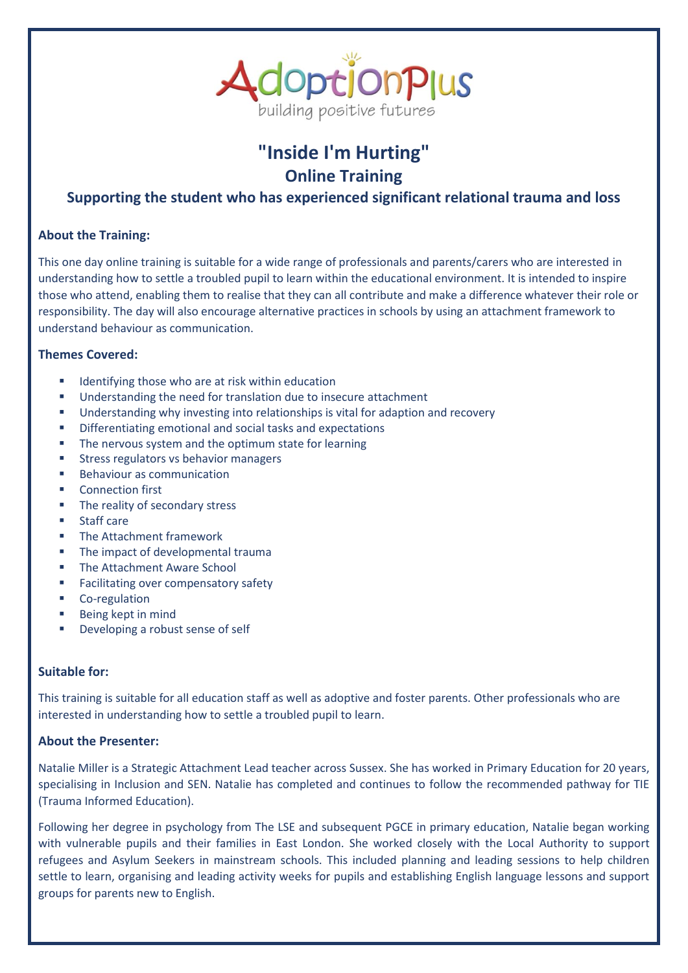

# **"Inside I'm Hurting" Online Training**

## **Supporting the student who has experienced significant relational trauma and loss**

### **About the Training:**

This one day online training is suitable for a wide range of professionals and parents/carers who are interested in understanding how to settle a troubled pupil to learn within the educational environment. It is intended to inspire those who attend, enabling them to realise that they can all contribute and make a difference whatever their role or responsibility. The day will also encourage alternative practices in schools by using an attachment framework to understand behaviour as communication.

### **Themes Covered:**

- Identifying those who are at risk within education
- Understanding the need for translation due to insecure attachment
- **■** Understanding why investing into relationships is vital for adaption and recovery
- Differentiating emotional and social tasks and expectations
- The nervous system and the optimum state for learning
- Stress regulators vs behavior managers
- Behaviour as communication
- **Connection first**
- The reality of secondary stress
- **Staff care**
- **■** The Attachment framework
- The impact of developmental trauma
- The Attachment Aware School
- Facilitating over compensatory safety
- Co-regulation
- Being kept in mind
- Developing a robust sense of self

#### **Suitable for:**

This training is suitable for all education staff as well as adoptive and foster parents. Other professionals who are interested in understanding how to settle a troubled pupil to learn.

#### **About the Presenter:**

Natalie Miller is a Strategic Attachment Lead teacher across Sussex. She has worked in Primary Education for 20 years, specialising in Inclusion and SEN. Natalie has completed and continues to follow the recommended pathway for TIE (Trauma Informed Education).

Following her degree in psychology from The LSE and subsequent PGCE in primary education, Natalie began working with vulnerable pupils and their families in East London. She worked closely with the Local Authority to support refugees and Asylum Seekers in mainstream schools. This included planning and leading sessions to help children settle to learn, organising and leading activity weeks for pupils and establishing English language lessons and support groups for parents new to English.